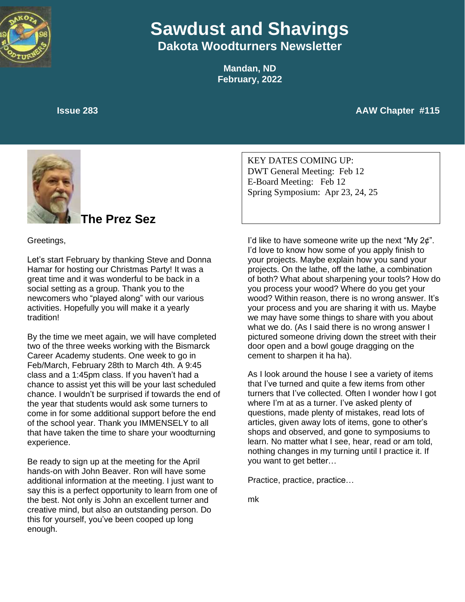

## **Sawdust and Shavings Dakota Woodturners Newsletter**

**Mandan, ND February, 2022**

**Issue 283 AAW Chapter #115** 



### **The Prez Sez**

Greetings,

Let's start February by thanking Steve and Donna Hamar for hosting our Christmas Party! It was a great time and it was wonderful to be back in a social setting as a group. Thank you to the newcomers who "played along" with our various activities. Hopefully you will make it a yearly tradition!

By the time we meet again, we will have completed two of the three weeks working with the Bismarck Career Academy students. One week to go in Feb/March, February 28th to March 4th. A 9:45 class and a 1:45pm class. If you haven't had a chance to assist yet this will be your last scheduled chance. I wouldn't be surprised if towards the end of the year that students would ask some turners to come in for some additional support before the end of the school year. Thank you IMMENSELY to all that have taken the time to share your woodturning experience.

Be ready to sign up at the meeting for the April hands-on with John Beaver. Ron will have some additional information at the meeting. I just want to say this is a perfect opportunity to learn from one of the best. Not only is John an excellent turner and creative mind, but also an outstanding person. Do this for yourself, you've been cooped up long enough.

KEY DATES COMING UP: DWT General Meeting: Feb 12 E-Board Meeting: Feb 12 Spring Symposium: Apr 23, 24, 25

I'd like to have someone write up the next "My  $2¢$ ". I'd love to know how some of you apply finish to your projects. Maybe explain how you sand your projects. On the lathe, off the lathe, a combination of both? What about sharpening your tools? How do you process your wood? Where do you get your wood? Within reason, there is no wrong answer. It's your process and you are sharing it with us. Maybe we may have some things to share with you about what we do. (As I said there is no wrong answer I pictured someone driving down the street with their door open and a bowl gouge dragging on the cement to sharpen it ha ha).

As I look around the house I see a variety of items that I've turned and quite a few items from other turners that I've collected. Often I wonder how I got where I'm at as a turner. I've asked plenty of questions, made plenty of mistakes, read lots of articles, given away lots of items, gone to other's shops and observed, and gone to symposiums to learn. No matter what I see, hear, read or am told, nothing changes in my turning until I practice it. If you want to get better…

Practice, practice, practice…

mk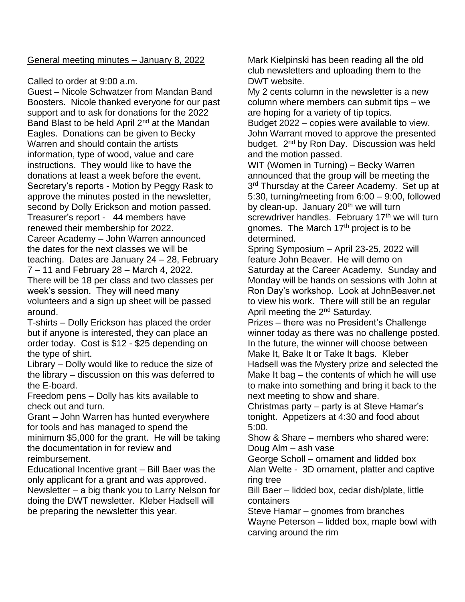#### General meeting minutes – January 8, 2022

Called to order at 9:00 a.m.

Guest – Nicole Schwatzer from Mandan Band Boosters. Nicole thanked everyone for our past support and to ask for donations for the 2022 Band Blast to be held April 2<sup>nd</sup> at the Mandan Eagles. Donations can be given to Becky Warren and should contain the artists information, type of wood, value and care instructions. They would like to have the donations at least a week before the event. Secretary's reports - Motion by Peggy Rask to approve the minutes posted in the newsletter, second by Dolly Erickson and motion passed. Treasurer's report - 44 members have renewed their membership for 2022. Career Academy – John Warren announced the dates for the next classes we will be

teaching. Dates are January 24 – 28, February 7 – 11 and February 28 – March 4, 2022.

There will be 18 per class and two classes per week's session. They will need many volunteers and a sign up sheet will be passed around.

T-shirts – Dolly Erickson has placed the order but if anyone is interested, they can place an order today. Cost is \$12 - \$25 depending on the type of shirt.

Library – Dolly would like to reduce the size of the library – discussion on this was deferred to the E-board.

Freedom pens – Dolly has kits available to check out and turn.

Grant – John Warren has hunted everywhere for tools and has managed to spend the minimum \$5,000 for the grant. He will be taking the documentation in for review and reimbursement.

Educational Incentive grant – Bill Baer was the only applicant for a grant and was approved. Newsletter – a big thank you to Larry Nelson for doing the DWT newsletter. Kleber Hadsell will be preparing the newsletter this year.

Mark Kielpinski has been reading all the old club newsletters and uploading them to the DWT website.

My 2 cents column in the newsletter is a new column where members can submit tips – we are hoping for a variety of tip topics.

Budget 2022 – copies were available to view. John Warrant moved to approve the presented budget. 2<sup>nd</sup> by Ron Day. Discussion was held and the motion passed.

WIT (Women in Turning) – Becky Warren announced that the group will be meeting the 3<sup>rd</sup> Thursday at the Career Academy. Set up at 5:30, turning/meeting from 6:00 – 9:00, followed by clean-up. January 20<sup>th</sup> we will turn screwdriver handles. February 17<sup>th</sup> we will turn gnomes. The March  $17<sup>th</sup>$  project is to be determined.

Spring Symposium – April 23-25, 2022 will feature John Beaver. He will demo on Saturday at the Career Academy. Sunday and Monday will be hands on sessions with John at Ron Day's workshop. Look at JohnBeaver.net to view his work. There will still be an regular April meeting the 2<sup>nd</sup> Saturday.

Prizes – there was no President's Challenge winner today as there was no challenge posted. In the future, the winner will choose between Make It, Bake It or Take It bags. Kleber Hadsell was the Mystery prize and selected the Make It bag – the contents of which he will use to make into something and bring it back to the next meeting to show and share.

Christmas party – party is at Steve Hamar's tonight. Appetizers at 4:30 and food about 5:00.

Show & Share – members who shared were: Doug Alm – ash vase

George Scholl – ornament and lidded box Alan Welte - 3D ornament, platter and captive ring tree

Bill Baer – lidded box, cedar dish/plate, little containers

Steve Hamar – gnomes from branches Wayne Peterson – lidded box, maple bowl with carving around the rim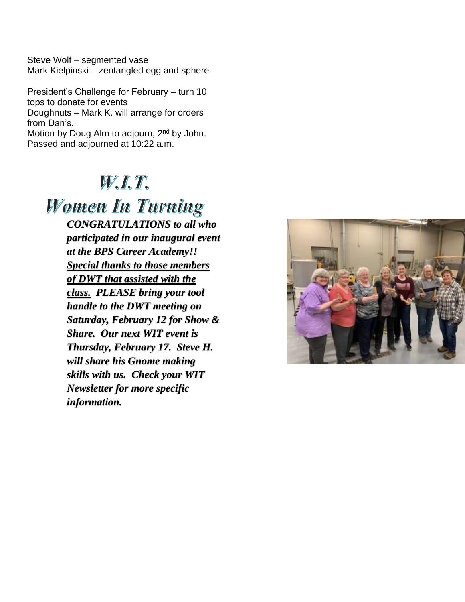Steve Wolf – segmented vase Mark Kielpinski – zentangled egg and sphere

President's Challenge for February – turn 10 tops to donate for events Doughnuts – Mark K. will arrange for orders from Dan's. Motion by Doug Alm to adjourn, 2<sup>nd</sup> by John. Passed and adjourned at 10:22 a.m.

# W.I.T.

## **Women In Turning**

*CONGRATULATIONS to all who participated in our inaugural event at the BPS Career Academy!! Special thanks to those members of DWT that assisted with the class. PLEASE bring your tool handle to the DWT meeting on Saturday, February 12 for Show & Share. Our next WIT event is Thursday, February 17. Steve H. will share his Gnome making skills with us. Check your WIT Newsletter for more specific information.*

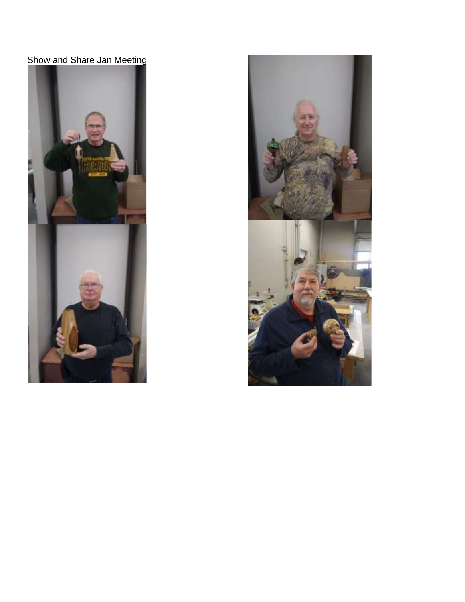### Show and Share Jan Meeting



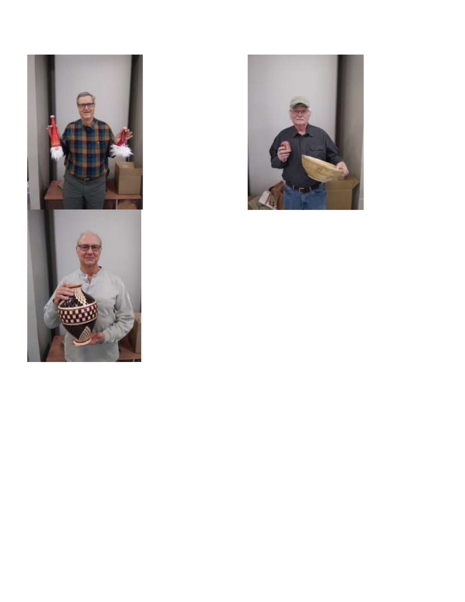

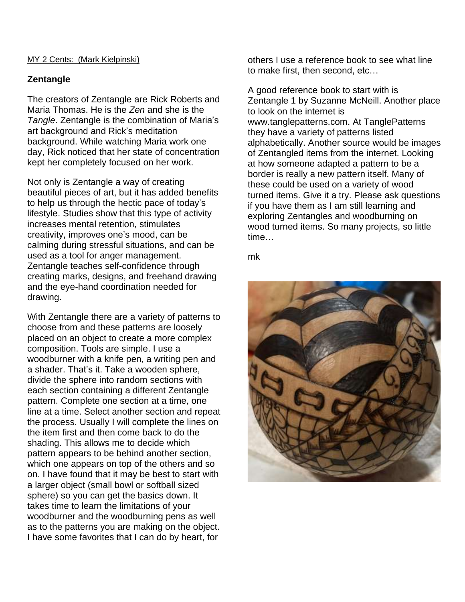#### **Zentangle**

The creators of Zentangle are Rick Roberts and Maria Thomas. He is the *Zen* and she is the *Tangle*. Zentangle is the combination of Maria's art background and Rick's meditation background. While watching Maria work one day, Rick noticed that her state of concentration kept her completely focused on her work.

Not only is Zentangle a way of creating beautiful pieces of art, but it has added benefits to help us through the hectic pace of today's lifestyle. Studies show that this type of activity increases mental retention, stimulates creativity, improves one's mood, can be calming during stressful situations, and can be used as a tool for anger management. Zentangle teaches self-confidence through creating marks, designs, and freehand drawing and the eye-hand coordination needed for drawing.

With Zentangle there are a variety of patterns to choose from and these patterns are loosely placed on an object to create a more complex composition. Tools are simple. I use a woodburner with a knife pen, a writing pen and a shader. That's it. Take a wooden sphere, divide the sphere into random sections with each section containing a different Zentangle pattern. Complete one section at a time, one line at a time. Select another section and repeat the process. Usually I will complete the lines on the item first and then come back to do the shading. This allows me to decide which pattern appears to be behind another section, which one appears on top of the others and so on. I have found that it may be best to start with a larger object (small bowl or softball sized sphere) so you can get the basics down. It takes time to learn the limitations of your woodburner and the woodburning pens as well as to the patterns you are making on the object. I have some favorites that I can do by heart, for

others I use a reference book to see what line to make first, then second, etc…

A good reference book to start with is Zentangle 1 by Suzanne McNeill. Another place to look on the internet is www.tanglepatterns.com. At TanglePatterns they have a variety of patterns listed alphabetically. Another source would be images of Zentangled items from the internet. Looking at how someone adapted a pattern to be a border is really a new pattern itself. Many of these could be used on a variety of wood turned items. Give it a try. Please ask questions if you have them as I am still learning and exploring Zentangles and woodburning on wood turned items. So many projects, so little time…

mk